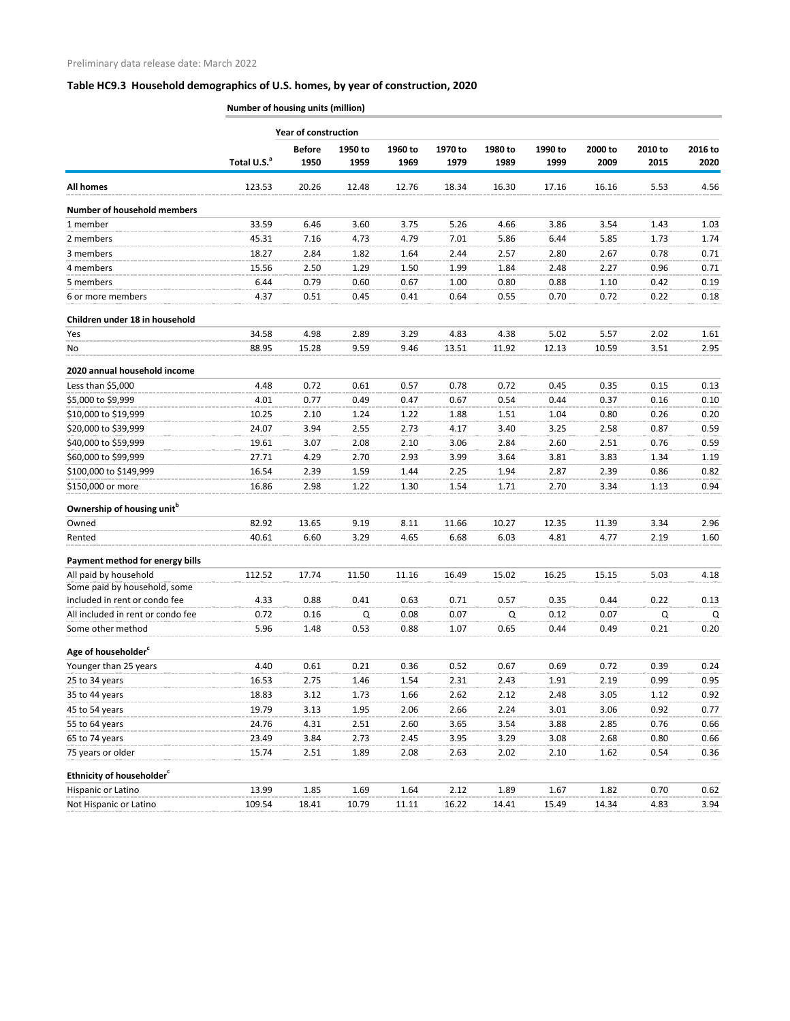### **Table HC9.3 Household demographics of U.S. homes, by year of construction, 2020**

**Number of housing units (million)**

|                                                       | <b>Year of construction</b> |                       |                 |                 |                 |                 |                 |                 |                 |                 |  |
|-------------------------------------------------------|-----------------------------|-----------------------|-----------------|-----------------|-----------------|-----------------|-----------------|-----------------|-----------------|-----------------|--|
|                                                       | Total U.S. <sup>a</sup>     | <b>Before</b><br>1950 | 1950 to<br>1959 | 1960 to<br>1969 | 1970 to<br>1979 | 1980 to<br>1989 | 1990 to<br>1999 | 2000 to<br>2009 | 2010 to<br>2015 | 2016 to<br>2020 |  |
| <b>All homes</b>                                      | 123.53                      | 20.26                 | 12.48           | 12.76           | 18.34           | 16.30           | 17.16           | 16.16           | 5.53            | 4.56            |  |
| <b>Number of household members</b>                    |                             |                       |                 |                 |                 |                 |                 |                 |                 |                 |  |
| 1 member                                              | 33.59                       | 6.46                  | 3.60            | 3.75            | 5.26            | 4.66            | 3.86            | 3.54            | 1.43            | 1.03            |  |
| 2 members                                             | 45.31                       | 7.16                  | 4.73            | 4.79            | 7.01            | 5.86            | 6.44            | 5.85            | 1.73            | 1.74            |  |
| 3 members                                             | 18.27                       | 2.84                  | 1.82            | 1.64            | 2.44            | 2.57            | 2.80            | 2.67            | 0.78            | 0.71            |  |
| 4 members                                             | 15.56                       | 2.50                  | 1.29            | 1.50            | 1.99            | 1.84            | 2.48            | 2.27            | 0.96            | 0.71            |  |
| 5 members                                             | 6.44                        | 0.79                  | 0.60            | 0.67            | 1.00            | 0.80            | 0.88            | 1.10            | 0.42            | 0.19            |  |
| 6 or more members                                     | 4.37                        | 0.51                  | 0.45            | 0.41            | 0.64            | 0.55            | 0.70            | 0.72            | 0.22            | 0.18            |  |
| Children under 18 in household                        |                             |                       |                 |                 |                 |                 |                 |                 |                 |                 |  |
| Yes                                                   | 34.58                       | 4.98                  | 2.89            | 3.29            | 4.83            | 4.38            | 5.02            | 5.57            | 2.02            | 1.61            |  |
| No                                                    | 88.95                       | 15.28                 | 9.59            | 9.46            | 13.51           | 11.92           | 12.13           | 10.59           | 3.51            | 2.95            |  |
| 2020 annual household income                          |                             |                       |                 |                 |                 |                 |                 |                 |                 |                 |  |
| Less than \$5,000                                     | 4.48                        | 0.72                  | 0.61            | 0.57            | 0.78            | 0.72            | 0.45            | 0.35            | 0.15            | 0.13            |  |
| \$5,000 to \$9,999                                    | 4.01                        | 0.77                  | 0.49            | 0.47            | 0.67            | 0.54            | 0.44            | 0.37            | 0.16            | 0.10            |  |
| \$10,000 to \$19,999                                  | 10.25                       | 2.10                  | 1.24            | 1.22            | 1.88            | 1.51            | 1.04            | 0.80            | 0.26            | 0.20            |  |
| \$20,000 to \$39,999                                  | 24.07                       | 3.94                  | 2.55            | 2.73            | 4.17            | 3.40            | 3.25            | 2.58            | 0.87            | 0.59            |  |
| \$40,000 to \$59,999                                  | 19.61                       | 3.07                  | 2.08            | 2.10            | 3.06            | 2.84            | 2.60            | 2.51            | 0.76            | 0.59            |  |
| \$60,000 to \$99,999                                  | 27.71                       | 4.29                  | 2.70            | 2.93            | 3.99            | 3.64            | 3.81            | 3.83            | 1.34            | 1.19            |  |
| \$100,000 to \$149,999                                | 16.54                       | 2.39                  | 1.59            | 1.44            | 2.25            | 1.94            | 2.87            | 2.39            | 0.86            | 0.82            |  |
| \$150,000 or more                                     | 16.86                       | 2.98                  | 1.22            | 1.30            | 1.54            | 1.71            | 2.70            | 3.34            | 1.13            | 0.94            |  |
| Ownership of housing unit <sup>b</sup>                |                             |                       |                 |                 |                 |                 |                 |                 |                 |                 |  |
| Owned                                                 | 82.92                       | 13.65                 | 9.19            | 8.11            | 11.66           | 10.27           | 12.35           | 11.39           | 3.34            | 2.96            |  |
| Rented                                                | 40.61                       | 6.60                  | 3.29            | 4.65            | 6.68            | 6.03            | 4.81            | 4.77            | 2.19            | 1.60            |  |
| Payment method for energy bills                       |                             |                       |                 |                 |                 |                 |                 |                 |                 |                 |  |
| All paid by household<br>Some paid by household, some | 112.52                      | 17.74                 | 11.50           | 11.16           | 16.49           | 15.02           | 16.25           | 15.15           | 5.03            | 4.18            |  |
| included in rent or condo fee                         | 4.33                        | 0.88                  | 0.41            | 0.63            | 0.71            | 0.57            | 0.35            | 0.44            | 0.22            | 0.13            |  |
| All included in rent or condo fee                     | 0.72                        | 0.16                  | Q               | 0.08            | 0.07            | Q               | 0.12            | 0.07            | Q               | Q               |  |
| Some other method                                     | 5.96                        | 1.48                  | 0.53            | 0.88            | 1.07            | 0.65            | 0.44            | 0.49            | 0.21            | 0.20            |  |
| Age of householder <sup>c</sup>                       |                             |                       |                 |                 |                 |                 |                 |                 |                 |                 |  |
| Younger than 25 years                                 | 4.40                        | 0.61                  | 0.21            | 0.36            | 0.52            | 0.67            | 0.69            | 0.72            | 0.39            | 0.24            |  |
| 25 to 34 years                                        | 16.53                       | 2.75                  | 1.46            | 1.54            | 2.31            | 2.43            | 1.91            | 2.19            | 0.99            | 0.95            |  |
| 35 to 44 years                                        | 18.83                       | 3.12                  | 1.73            | 1.66            | 2.62            | 2.12            | 2.48            | 3.05            | 1.12            | 0.92            |  |
| 45 to 54 years                                        | 19.79                       | 3.13                  | 1.95            | 2.06            | 2.66            | 2.24            | 3.01            | 3.06            | 0.92            | 0.77            |  |
| 55 to 64 years                                        | 24.76                       | 4.31                  | 2.51            | 2.60            | 3.65            | 3.54            | 3.88            | 2.85            | 0.76            | 0.66            |  |
| 65 to 74 years                                        | 23.49                       | 3.84                  | 2.73            | 2.45            | 3.95            | 3.29            | 3.08            | 2.68            | 0.80            | 0.66            |  |
| 75 years or older                                     | 15.74                       | 2.51                  | 1.89            | 2.08            | 2.63            | 2.02            | 2.10            | 1.62            | 0.54            | 0.36            |  |
| Ethnicity of householder <sup>c</sup>                 |                             |                       |                 |                 |                 |                 |                 |                 |                 |                 |  |
| Hispanic or Latino                                    | 13.99                       | 1.85                  | 1.69            | 1.64            | 2.12            | 1.89            | 1.67            | 1.82            | 0.70            | 0.62            |  |
| Not Hispanic or Latino                                | 109.54                      | 18.41                 | 10.79           | 11.11           | 16.22           | 14.41           | 15.49           | 14.34           | 4.83            | 3.94            |  |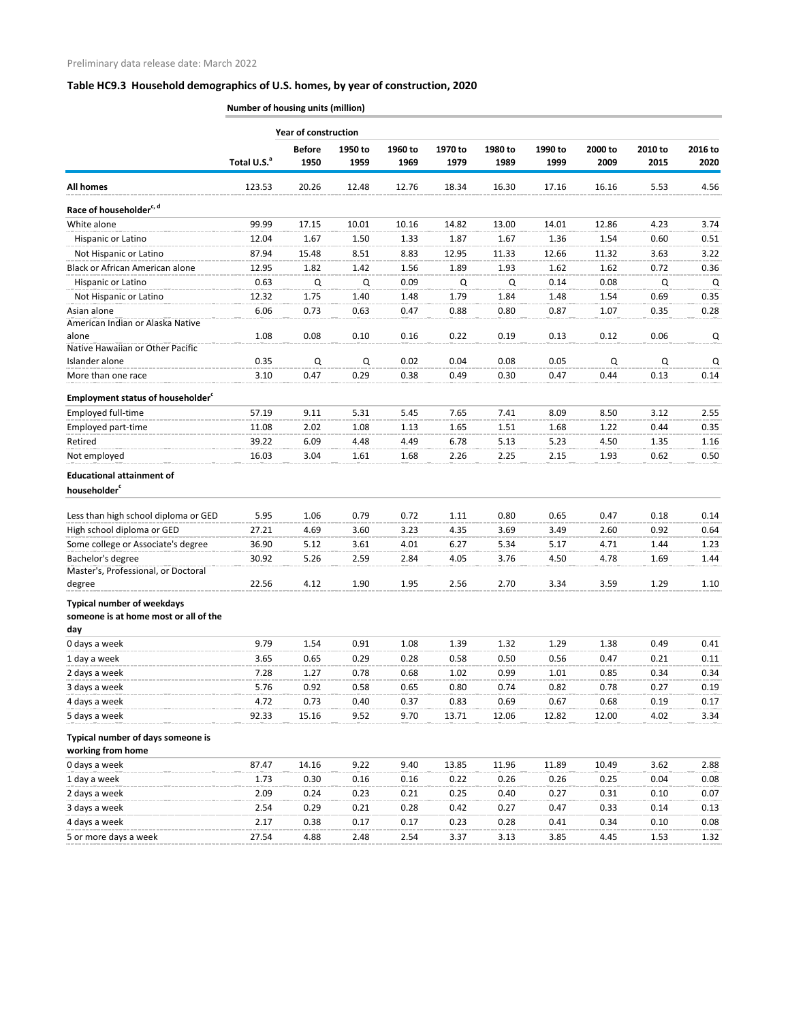# **Table HC9.3 Household demographics of U.S. homes, by year of construction, 2020**

**Number of housing units (million)**

|                                                                                   | <b>Year of construction</b> |                       |                 |                 |                 |                 |                 |                 |                 |                 |  |
|-----------------------------------------------------------------------------------|-----------------------------|-----------------------|-----------------|-----------------|-----------------|-----------------|-----------------|-----------------|-----------------|-----------------|--|
|                                                                                   | Total U.S. <sup>a</sup>     | <b>Before</b><br>1950 | 1950 to<br>1959 | 1960 to<br>1969 | 1970 to<br>1979 | 1980 to<br>1989 | 1990 to<br>1999 | 2000 to<br>2009 | 2010 to<br>2015 | 2016 to<br>2020 |  |
| <b>All homes</b>                                                                  | 123.53                      | 20.26                 | 12.48           | 12.76           | 18.34           | 16.30           | 17.16           | 16.16           | 5.53            | 4.56            |  |
| Race of householder <sup>c, d</sup>                                               |                             |                       |                 |                 |                 |                 |                 |                 |                 |                 |  |
| White alone                                                                       | 99.99                       | 17.15                 | 10.01           | 10.16           | 14.82           | 13.00           | 14.01           | 12.86           | 4.23            | 3.74            |  |
| Hispanic or Latino                                                                | 12.04                       | 1.67                  | 1.50            | 1.33            | 1.87            | 1.67            | 1.36            | 1.54            | 0.60            | 0.51            |  |
| Not Hispanic or Latino                                                            | 87.94                       | 15.48                 | 8.51            | 8.83            | 12.95           | 11.33           | 12.66           | 11.32           | 3.63            | 3.22            |  |
| Black or African American alone                                                   | 12.95                       | 1.82                  | 1.42            | 1.56            | 1.89            | 1.93            | 1.62            | 1.62            | 0.72            | 0.36            |  |
| Hispanic or Latino                                                                | 0.63                        | Q                     | Q               | 0.09            | Q               | Q               | 0.14            | 0.08            | Q               | Q               |  |
| Not Hispanic or Latino                                                            | 12.32                       | 1.75                  | 1.40            | 1.48            | 1.79            | 1.84            | 1.48            | 1.54            | 0.69            | 0.35            |  |
| Asian alone                                                                       | 6.06                        | 0.73                  | 0.63            | 0.47            | 0.88            | 0.80            | 0.87            | 1.07            | 0.35            | 0.28            |  |
| American Indian or Alaska Native                                                  |                             |                       |                 |                 |                 |                 |                 |                 |                 |                 |  |
| alone                                                                             | 1.08                        | 0.08                  | 0.10            | 0.16            | 0.22            | 0.19            | 0.13            | 0.12            | 0.06            | Q               |  |
| Native Hawaiian or Other Pacific                                                  |                             |                       |                 |                 |                 |                 |                 |                 |                 |                 |  |
| Islander alone                                                                    | 0.35                        | $\mathsf Q$           | Q               | 0.02            | 0.04            | 0.08            | 0.05            | $\mathsf Q$     | $\mathsf Q$     | Q               |  |
| More than one race                                                                | 3.10                        | 0.47                  | 0.29            | 0.38            | 0.49            | 0.30            | 0.47            | 0.44            | 0.13            | 0.14            |  |
| <b>Employment status of householder</b> <sup>c</sup>                              |                             |                       |                 |                 |                 |                 |                 |                 |                 |                 |  |
| Employed full-time                                                                | 57.19                       | 9.11                  | 5.31            | 5.45            | 7.65            | 7.41            | 8.09            | 8.50            | 3.12            | 2.55            |  |
| Employed part-time                                                                | 11.08                       | 2.02                  | 1.08            | 1.13            | 1.65            | 1.51            | 1.68            | 1.22            | 0.44            | 0.35            |  |
| Retired                                                                           | 39.22                       | 6.09                  | 4.48            | 4.49            | 6.78            | 5.13            | 5.23            | 4.50            | 1.35            | 1.16            |  |
| Not employed                                                                      | 16.03                       | 3.04                  | 1.61            | 1.68            | 2.26            | 2.25            | 2.15            | 1.93            | 0.62            | 0.50            |  |
| <b>Educational attainment of</b>                                                  |                             |                       |                 |                 |                 |                 |                 |                 |                 |                 |  |
| householder <sup>c</sup>                                                          |                             |                       |                 |                 |                 |                 |                 |                 |                 |                 |  |
| Less than high school diploma or GED                                              | 5.95                        | 1.06                  | 0.79            | 0.72            | 1.11            | 0.80            | 0.65            | 0.47            | 0.18            | 0.14            |  |
| High school diploma or GED                                                        | 27.21                       | 4.69                  | 3.60            | 3.23            | 4.35            | 3.69            | 3.49            | 2.60            | 0.92            | 0.64            |  |
| Some college or Associate's degree                                                | 36.90                       | 5.12                  | 3.61            | 4.01            | 6.27            | 5.34            | 5.17            | 4.71            | 1.44            | 1.23            |  |
| Bachelor's degree                                                                 | 30.92                       | 5.26                  | 2.59            | 2.84            | 4.05            | 3.76            | 4.50            | 4.78            | 1.69            | 1.44            |  |
| Master's, Professional, or Doctoral                                               |                             |                       |                 |                 |                 |                 |                 |                 |                 |                 |  |
| degree                                                                            | 22.56                       | 4.12                  | 1.90            | 1.95            | 2.56            | 2.70            | 3.34            | 3.59            | 1.29            | 1.10            |  |
| <b>Typical number of weekdays</b><br>someone is at home most or all of the<br>day |                             |                       |                 |                 |                 |                 |                 |                 |                 |                 |  |
| 0 days a week                                                                     | 9.79                        | 1.54                  | 0.91            | 1.08            | 1.39            | 1.32            | 1.29            | 1.38            | 0.49            | 0.41            |  |
| 1 day a week                                                                      | 3.65                        | 0.65                  | 0.29            | 0.28            | 0.58            | 0.50            | 0.56            | 0.47            | 0.21            | 0.11            |  |
| 2 days a week                                                                     | 7.28                        | 1.27                  | 0.78            | 0.68            | 1.02            | 0.99            | 1.01            | 0.85            | 0.34            | 0.34            |  |
| 3 days a week                                                                     | 5.76                        | 0.92                  | 0.58            | 0.65            | 0.80            | 0.74            | 0.82            | 0.78            | 0.27            | 0.19            |  |
| 4 days a week                                                                     | 4.72                        | 0.73                  | 0.40            | 0.37            | 0.83            | 0.69            | 0.67            | 0.68            | 0.19            | 0.17            |  |
| 5 days a week                                                                     | 92.33                       | 15.16                 | 9.52            | 9.70            | 13.71           | 12.06           | 12.82           | 12.00           | 4.02            | 3.34            |  |
|                                                                                   |                             |                       |                 |                 |                 |                 |                 |                 |                 |                 |  |
| Typical number of days someone is<br>working from home                            |                             |                       |                 |                 |                 |                 |                 |                 |                 |                 |  |
| 0 days a week                                                                     | 87.47                       | 14.16                 | 9.22            | 9.40            | 13.85           | 11.96           | 11.89           | 10.49           | 3.62            | 2.88            |  |
| 1 day a week                                                                      | 1.73                        | 0.30                  | 0.16            | 0.16            | 0.22            | 0.26            | 0.26            | 0.25            | 0.04            | 0.08            |  |
| 2 days a week                                                                     | 2.09                        | 0.24                  | 0.23            | 0.21            | 0.25            | 0.40            | 0.27            | 0.31            | 0.10            | 0.07            |  |
| 3 days a week                                                                     | 2.54                        | 0.29                  | 0.21            | 0.28            | 0.42            | 0.27            | 0.47            | 0.33            | 0.14            | 0.13            |  |
| 4 days a week                                                                     | 2.17                        | 0.38                  | 0.17            | 0.17            | 0.23            | 0.28            | 0.41            | 0.34            | 0.10            | 0.08            |  |
| 5 or more days a week                                                             | 27.54                       | 4.88                  | 2.48            | 2.54            | 3.37            | 3.13            | 3.85            | 4.45            | 1.53            | 1.32            |  |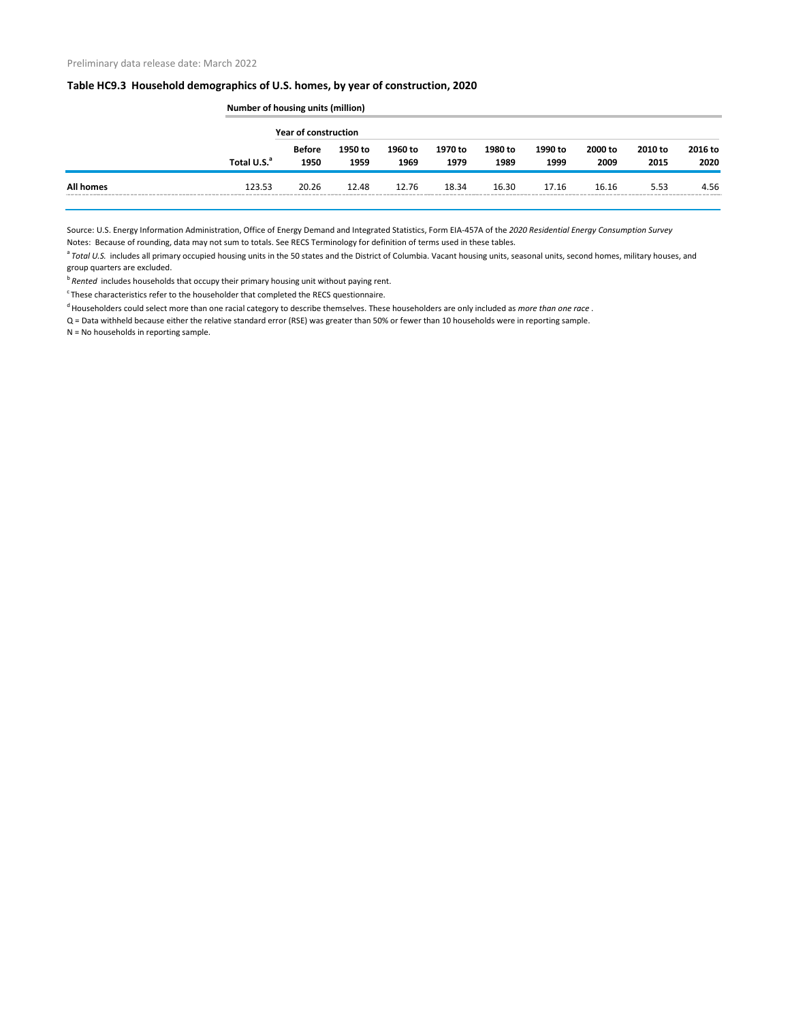### **Table HC9.3 Household demographics of U.S. homes, by year of construction, 2020**

|                  |                         | Number of housing units (million) |                 |                 |                 |                 |                 |                 |                 |                 |  |  |
|------------------|-------------------------|-----------------------------------|-----------------|-----------------|-----------------|-----------------|-----------------|-----------------|-----------------|-----------------|--|--|
|                  |                         | Year of construction              |                 |                 |                 |                 |                 |                 |                 |                 |  |  |
|                  | Total U.S. <sup>a</sup> | <b>Before</b><br>1950             | 1950 to<br>1959 | 1960 to<br>1969 | 1970 to<br>1979 | 1980 to<br>1989 | 1990 to<br>1999 | 2000 to<br>2009 | 2010 to<br>2015 | 2016 to<br>2020 |  |  |
| <b>All homes</b> | 123.53                  | 20.26                             | 12.48           | 12.76           | 18.34           | 16.30           | 17.16           | 16.16           | 5.53            | 4.56            |  |  |

Source: U.S. Energy Information Administration, Office of Energy Demand and Integrated Statistics, Form EIA-457A of the *2020 Residential Energy Consumption Survey* Notes: Because of rounding, data may not sum to totals. See RECS Terminology for definition of terms used in these tables.

<sup>a</sup> Total U.S. includes all primary occupied housing units in the 50 states and the District of Columbia. Vacant housing units, seasonal units, second homes, military houses, and group quarters are excluded.

<sup>b</sup> Rented includes households that occupy their primary housing unit without paying rent.

 $\degree$ These characteristics refer to the householder that completed the RECS questionnaire.

<sup>d</sup> Householders could select more than one racial category to describe themselves. These householders are only included as *more than one race*.

Q = Data withheld because either the relative standard error (RSE) was greater than 50% or fewer than 10 households were in reporting sample.

N = No households in reporting sample.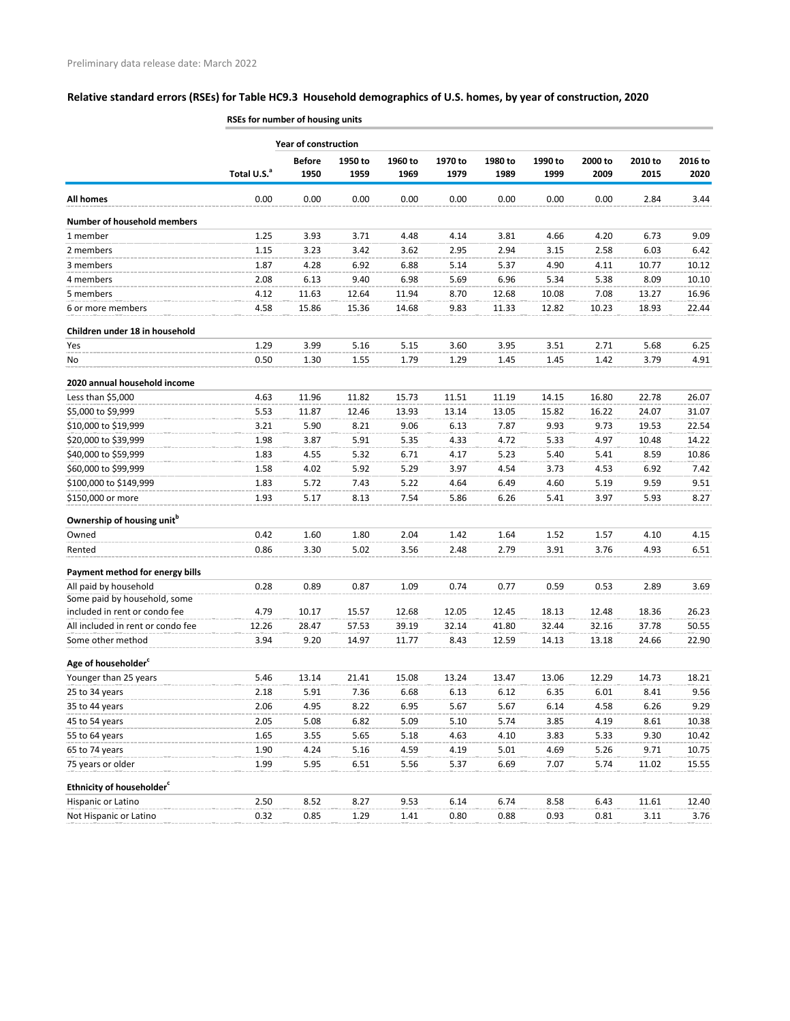# **Relative standard errors (RSEs) for Table HC9.3 Household demographics of U.S. homes, by year of construction, 2020**

|                                        | RSEs for number of housing units |                             |         |         |         |         |         |         |         |         |  |
|----------------------------------------|----------------------------------|-----------------------------|---------|---------|---------|---------|---------|---------|---------|---------|--|
|                                        |                                  | <b>Year of construction</b> |         |         |         |         |         |         |         |         |  |
|                                        |                                  | <b>Before</b>               | 1950 to | 1960 to | 1970 to | 1980 to | 1990 to | 2000 to | 2010 to | 2016 to |  |
|                                        | Total U.S. <sup>a</sup>          | 1950                        | 1959    | 1969    | 1979    | 1989    | 1999    | 2009    | 2015    | 2020    |  |
| <b>All homes</b>                       | 0.00                             | 0.00                        | 0.00    | 0.00    | 0.00    | 0.00    | 0.00    | 0.00    | 2.84    | 3.44    |  |
| <b>Number of household members</b>     |                                  |                             |         |         |         |         |         |         |         |         |  |
| 1 member                               | 1.25                             | 3.93                        | 3.71    | 4.48    | 4.14    | 3.81    | 4.66    | 4.20    | 6.73    | 9.09    |  |
| 2 members                              | 1.15                             | 3.23                        | 3.42    | 3.62    | 2.95    | 2.94    | 3.15    | 2.58    | 6.03    | 6.42    |  |
| 3 members                              | 1.87                             | 4.28                        | 6.92    | 6.88    | 5.14    | 5.37    | 4.90    | 4.11    | 10.77   | 10.12   |  |
| 4 members                              | 2.08                             | 6.13                        | 9.40    | 6.98    | 5.69    | 6.96    | 5.34    | 5.38    | 8.09    | 10.10   |  |
| 5 members                              | 4.12                             | 11.63                       | 12.64   | 11.94   | 8.70    | 12.68   | 10.08   | 7.08    | 13.27   | 16.96   |  |
| 6 or more members                      | 4.58                             | 15.86                       | 15.36   | 14.68   | 9.83    | 11.33   | 12.82   | 10.23   | 18.93   | 22.44   |  |
| Children under 18 in household         |                                  |                             |         |         |         |         |         |         |         |         |  |
| Yes                                    | 1.29                             | 3.99                        | 5.16    | 5.15    | 3.60    | 3.95    | 3.51    | 2.71    | 5.68    | 6.25    |  |
| No                                     | 0.50                             | 1.30                        | 1.55    | 1.79    | 1.29    | 1.45    | 1.45    | 1.42    | 3.79    | 4.91    |  |
| 2020 annual household income           |                                  |                             |         |         |         |         |         |         |         |         |  |
| Less than \$5,000                      | 4.63                             | 11.96                       | 11.82   | 15.73   | 11.51   | 11.19   | 14.15   | 16.80   | 22.78   | 26.07   |  |
| \$5,000 to \$9,999                     | 5.53                             | 11.87                       | 12.46   | 13.93   | 13.14   | 13.05   | 15.82   | 16.22   | 24.07   | 31.07   |  |
| \$10,000 to \$19,999                   | 3.21                             | 5.90                        | 8.21    | 9.06    | 6.13    | 7.87    | 9.93    | 9.73    | 19.53   | 22.54   |  |
| \$20,000 to \$39,999                   | 1.98                             | 3.87                        | 5.91    | 5.35    | 4.33    | 4.72    | 5.33    | 4.97    | 10.48   | 14.22   |  |
| \$40,000 to \$59,999                   | 1.83                             | 4.55                        | 5.32    | 6.71    | 4.17    | 5.23    | 5.40    | 5.41    | 8.59    | 10.86   |  |
| \$60,000 to \$99,999                   | 1.58                             | 4.02                        | 5.92    | 5.29    | 3.97    | 4.54    | 3.73    | 4.53    | 6.92    | 7.42    |  |
| \$100,000 to \$149,999                 | 1.83                             | 5.72                        | 7.43    | 5.22    | 4.64    | 6.49    | 4.60    | 5.19    | 9.59    | 9.51    |  |
| \$150,000 or more                      | 1.93                             | 5.17                        | 8.13    | 7.54    | 5.86    | 6.26    | 5.41    | 3.97    | 5.93    | 8.27    |  |
| Ownership of housing unit <sup>b</sup> |                                  |                             |         |         |         |         |         |         |         |         |  |
| Owned                                  | 0.42                             | 1.60                        | 1.80    | 2.04    | 1.42    | 1.64    | 1.52    | 1.57    | 4.10    | 4.15    |  |
| Rented                                 | 0.86                             | 3.30                        | 5.02    | 3.56    | 2.48    | 2.79    | 3.91    | 3.76    | 4.93    | 6.51    |  |
| Payment method for energy bills        |                                  |                             |         |         |         |         |         |         |         |         |  |
| All paid by household                  | 0.28                             | 0.89                        | 0.87    | 1.09    | 0.74    | 0.77    | 0.59    | 0.53    | 2.89    | 3.69    |  |
| Some paid by household, some           |                                  |                             |         |         |         |         |         |         |         |         |  |
| included in rent or condo fee          | 4.79                             | 10.17                       | 15.57   | 12.68   | 12.05   | 12.45   | 18.13   | 12.48   | 18.36   | 26.23   |  |
| All included in rent or condo fee      | 12.26                            | 28.47                       | 57.53   | 39.19   | 32.14   | 41.80   | 32.44   | 32.16   | 37.78   | 50.55   |  |
| Some other method                      | 3.94                             | 9.20                        | 14.97   | 11.77   | 8.43    | 12.59   | 14.13   | 13.18   | 24.66   | 22.90   |  |
| Age of householder <sup>c</sup>        |                                  |                             |         |         |         |         |         |         |         |         |  |
| Younger than 25 years                  | 5.46                             | 13.14                       | 21.41   | 15.08   | 13.24   | 13.47   | 13.06   | 12.29   | 14.73   | 18.21   |  |
| 25 to 34 years                         | 2.18                             | 5.91                        | 7.36    | 6.68    | 6.13    | 6.12    | 6.35    | 6.01    | 8.41    | 9.56    |  |
| 35 to 44 years                         | 2.06                             | 4.95                        | 8.22    | 6.95    | 5.67    | 5.67    | 6.14    | 4.58    | 6.26    | 9.29    |  |
| 45 to 54 years                         | 2.05                             | 5.08                        | 6.82    | 5.09    | 5.10    | 5.74    | 3.85    | 4.19    | 8.61    | 10.38   |  |
| 55 to 64 years                         | 1.65                             | 3.55                        | 5.65    | 5.18    | 4.63    | 4.10    | 3.83    | 5.33    | 9.30    | 10.42   |  |
| 65 to 74 years                         | 1.90                             | 4.24                        | 5.16    | 4.59    | 4.19    | 5.01    | 4.69    | 5.26    | 9.71    | 10.75   |  |
| 75 years or older                      | 1.99                             | 5.95                        | 6.51    | 5.56    | 5.37    | 6.69    | 7.07    | 5.74    | 11.02   | 15.55   |  |
| Ethnicity of householder <sup>c</sup>  |                                  |                             |         |         |         |         |         |         |         |         |  |
| Hispanic or Latino                     | 2.50                             | 8.52                        | 8.27    | 9.53    | 6.14    | 6.74    | 8.58    | 6.43    | 11.61   | 12.40   |  |
| Not Hispanic or Latino                 | 0.32                             | 0.85                        | 1.29    | 1.41    | 0.80    | 0.88    | 0.93    | 0.81    | 3.11    | 3.76    |  |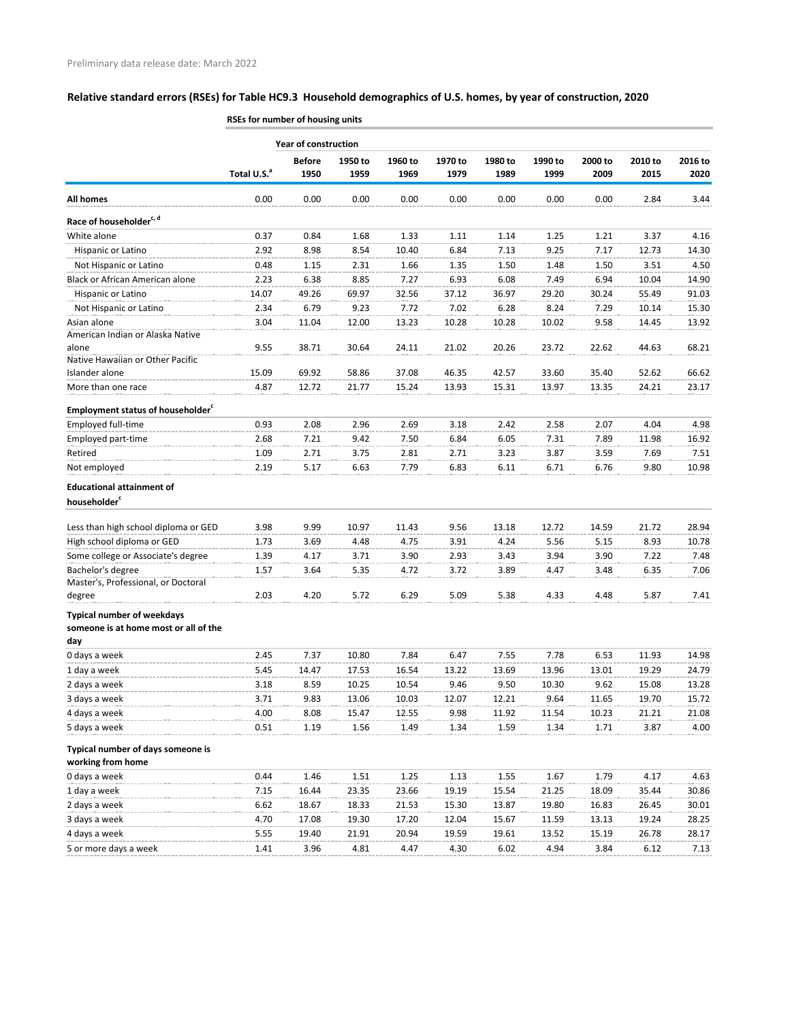# **Relative standard errors (RSEs) for Table HC9.3 Household demographics of U.S. homes, by year of construction, 2020**

|                                                                                   | RSEs for number of housing units |                       |                 |                 |                 |                 |                 |                 |                 |                 |  |
|-----------------------------------------------------------------------------------|----------------------------------|-----------------------|-----------------|-----------------|-----------------|-----------------|-----------------|-----------------|-----------------|-----------------|--|
|                                                                                   | <b>Year of construction</b>      |                       |                 |                 |                 |                 |                 |                 |                 |                 |  |
|                                                                                   | Total U.S. <sup>a</sup>          | <b>Before</b><br>1950 | 1950 to<br>1959 | 1960 to<br>1969 | 1970 to<br>1979 | 1980 to<br>1989 | 1990 to<br>1999 | 2000 to<br>2009 | 2010 to<br>2015 | 2016 to<br>2020 |  |
| <b>All homes</b>                                                                  | 0.00                             | 0.00                  | 0.00            | 0.00            | 0.00            | 0.00            | 0.00            | 0.00            | 2.84            | 3.44            |  |
| Race of householder <sup>c, d</sup>                                               |                                  |                       |                 |                 |                 |                 |                 |                 |                 |                 |  |
| White alone                                                                       | 0.37                             | 0.84                  | 1.68            | 1.33            | 1.11            | 1.14            | 1.25            | 1.21            | 3.37            | 4.16            |  |
| Hispanic or Latino                                                                | 2.92                             | 8.98                  | 8.54            | 10.40           | 6.84            | 7.13            | 9.25            | 7.17            | 12.73           | 14.30           |  |
| Not Hispanic or Latino                                                            | 0.48                             | 1.15                  | 2.31            | 1.66            | 1.35            | 1.50            | 1.48            | 1.50            | 3.51            | 4.50            |  |
| Black or African American alone                                                   | 2.23                             | 6.38                  | 8.85            | 7.27            | 6.93            | 6.08            | 7.49            | 6.94            | 10.04           | 14.90           |  |
| Hispanic or Latino                                                                | 14.07                            | 49.26                 | 69.97           | 32.56           | 37.12           | 36.97           | 29.20           | 30.24           | 55.49           | 91.03           |  |
| Not Hispanic or Latino                                                            | 2.34                             | 6.79                  | 9.23            | 7.72            | 7.02            | 6.28            | 8.24            | 7.29            | 10.14           | 15.30           |  |
| Asian alone                                                                       | 3.04                             | 11.04                 | 12.00           | 13.23           | 10.28           | 10.28           | 10.02           | 9.58            | 14.45           | 13.92           |  |
| American Indian or Alaska Native                                                  |                                  |                       |                 |                 |                 |                 |                 |                 |                 |                 |  |
| alone                                                                             | 9.55                             | 38.71                 | 30.64           | 24.11           | 21.02           | 20.26           | 23.72           | 22.62           | 44.63           | 68.21           |  |
| Native Hawaiian or Other Pacific                                                  |                                  |                       |                 |                 |                 |                 |                 |                 |                 |                 |  |
| Islander alone                                                                    | 15.09                            | 69.92                 | 58.86           | 37.08           | 46.35           | 42.57           | 33.60           | 35.40           | 52.62           | 66.62           |  |
| More than one race                                                                | 4.87                             | 12.72                 | 21.77           | 15.24           | 13.93           | 15.31           | 13.97           | 13.35           | 24.21           | 23.17           |  |
| <b>Employment status of householder</b> <sup>c</sup>                              |                                  |                       |                 |                 |                 |                 |                 |                 |                 |                 |  |
| Employed full-time                                                                | 0.93                             | 2.08                  | 2.96            | 2.69            | 3.18            | 2.42            | 2.58            | 2.07            | 4.04            | 4.98            |  |
| Employed part-time                                                                | 2.68                             | 7.21                  | 9.42            | 7.50            | 6.84            | 6.05            | 7.31            | 7.89            | 11.98           | 16.92           |  |
| Retired                                                                           | 1.09                             | 2.71                  | 3.75            | 2.81            | 2.71            | 3.23            | 3.87            | 3.59            | 7.69            | 7.51            |  |
| Not employed                                                                      | 2.19                             | 5.17                  | 6.63            | 7.79            | 6.83            | 6.11            | 6.71            | 6.76            | 9.80            | 10.98           |  |
| <b>Educational attainment of</b><br>householder <sup>c</sup>                      |                                  |                       |                 |                 |                 |                 |                 |                 |                 |                 |  |
| Less than high school diploma or GED                                              | 3.98                             | 9.99                  | 10.97           | 11.43           | 9.56            | 13.18           | 12.72           | 14.59           | 21.72           | 28.94           |  |
| High school diploma or GED                                                        | 1.73                             | 3.69                  | 4.48            | 4.75            | 3.91            | 4.24            | 5.56            | 5.15            | 8.93            | 10.78           |  |
| Some college or Associate's degree                                                | 1.39                             | 4.17                  | 3.71            | 3.90            | 2.93            | 3.43            | 3.94            | 3.90            | 7.22            | 7.48            |  |
| Bachelor's degree                                                                 | 1.57                             | 3.64                  | 5.35            | 4.72            | 3.72            | 3.89            | 4.47            | 3.48            | 6.35            | 7.06            |  |
| Master's, Professional, or Doctoral                                               |                                  |                       |                 |                 |                 |                 |                 |                 |                 |                 |  |
| degree                                                                            | 2.03                             | 4.20                  | 5.72            | 6.29            | 5.09            | 5.38            | 4.33            | 4.48            | 5.87            | 7.41            |  |
| <b>Typical number of weekdays</b><br>someone is at home most or all of the<br>day |                                  |                       |                 |                 |                 |                 |                 |                 |                 |                 |  |
| 0 days a week                                                                     | 2.45                             | 7.37                  | 10.80           | 7.84            | 6.47            | 7.55            | 7.78            | 6.53            | 11.93           | 14.98           |  |
| 1 day a week                                                                      | 5.45                             | 14.47                 | 17.53           | 16.54           | 13.22           | 13.69           | 13.96           | 13.01           | 19.29           | 24.79           |  |
| 2 days a week                                                                     | 3.18                             | 8.59                  | 10.25           | 10.54           | 9.46            | 9.50            | 10.30           | 9.62            | 15.08           | 13.28           |  |
| 3 days a week                                                                     | 3.71                             | 9.83                  | 13.06           | 10.03           | 12.07           | 12.21           | 9.64            | 11.65           | 19.70           | 15.72           |  |
| 4 days a week                                                                     | 4.00                             | 8.08                  | 15.47           | 12.55           | 9.98            | 11.92           | 11.54           | 10.23           | 21.21           | 21.08           |  |
| 5 days a week                                                                     | 0.51                             | 1.19                  | 1.56            | 1.49            | 1.34            | 1.59            | 1.34            | 1.71            | 3.87            | 4.00            |  |
| Typical number of days someone is                                                 |                                  |                       |                 |                 |                 |                 |                 |                 |                 |                 |  |
| working from home                                                                 |                                  |                       |                 |                 |                 |                 |                 |                 |                 |                 |  |
| 0 days a week                                                                     | 0.44                             | 1.46                  | 1.51            | 1.25            | 1.13            | 1.55            | 1.67            | 1.79            | 4.17            | 4.63            |  |
| 1 day a week                                                                      | 7.15                             | 16.44                 | 23.35           | 23.66           | 19.19           | 15.54           | 21.25           | 18.09           | 35.44           | 30.86           |  |
| 2 days a week                                                                     | 6.62                             | 18.67                 | 18.33           | 21.53           | 15.30           | 13.87           | 19.80           | 16.83           | 26.45           | 30.01           |  |
| 3 days a week                                                                     | 4.70                             | 17.08                 | 19.30           | 17.20           | 12.04           | 15.67           | 11.59           | 13.13           | 19.24           | 28.25           |  |
| 4 days a week                                                                     | 5.55                             | 19.40                 | 21.91           | 20.94           | 19.59           | 19.61           | 13.52           | 15.19           | 26.78           | 28.17           |  |
| 5 or more days a week                                                             |                                  |                       | 4.81            | 4.47            | 4.30            | 6.02            | 4.94            | 3.84            |                 |                 |  |
|                                                                                   | 1.41                             | 3.96                  |                 |                 |                 |                 |                 |                 | 6.12            | 7.13            |  |